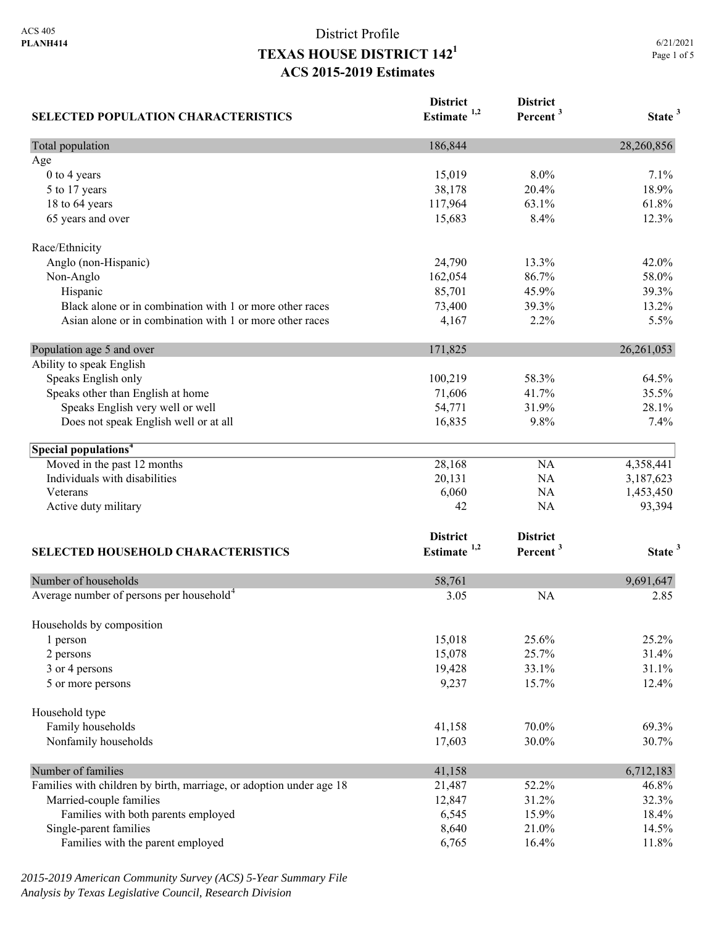# District Profile **TEXAS HOUSE DISTRICT 1421 ACS 2015-2019 Estimates**

| <b>SELECTED POPULATION CHARACTERISTICS</b>                          | <b>District</b><br>Estimate <sup>1,2</sup> | <b>District</b><br>Percent <sup>3</sup> | State <sup>3</sup> |
|---------------------------------------------------------------------|--------------------------------------------|-----------------------------------------|--------------------|
| Total population                                                    | 186,844                                    |                                         | 28,260,856         |
| Age                                                                 |                                            |                                         |                    |
| 0 to 4 years                                                        | 15,019                                     | 8.0%                                    | 7.1%               |
| 5 to 17 years                                                       | 38,178                                     | 20.4%                                   | 18.9%              |
| 18 to 64 years                                                      | 117,964                                    | 63.1%                                   | 61.8%              |
| 65 years and over                                                   | 15,683                                     | 8.4%                                    | 12.3%              |
| Race/Ethnicity                                                      |                                            |                                         |                    |
| Anglo (non-Hispanic)                                                | 24,790                                     | 13.3%                                   | 42.0%              |
| Non-Anglo                                                           | 162,054                                    | 86.7%                                   | 58.0%              |
| Hispanic                                                            | 85,701                                     | 45.9%                                   | 39.3%              |
| Black alone or in combination with 1 or more other races            | 73,400                                     | 39.3%                                   | 13.2%              |
| Asian alone or in combination with 1 or more other races            | 4,167                                      | 2.2%                                    | 5.5%               |
| Population age 5 and over                                           | 171,825                                    |                                         | 26, 261, 053       |
| Ability to speak English                                            |                                            |                                         |                    |
| Speaks English only                                                 | 100,219                                    | 58.3%                                   | 64.5%              |
| Speaks other than English at home                                   | 71,606                                     | 41.7%                                   | 35.5%              |
| Speaks English very well or well                                    | 54,771                                     | 31.9%                                   | 28.1%              |
| Does not speak English well or at all                               | 16,835                                     | 9.8%                                    | 7.4%               |
| Special populations <sup>4</sup>                                    |                                            |                                         |                    |
| Moved in the past 12 months                                         | 28,168                                     | NA                                      | 4,358,441          |
| Individuals with disabilities                                       | 20,131                                     | NA                                      | 3,187,623          |
| Veterans                                                            | 6,060                                      | NA                                      | 1,453,450          |
| Active duty military                                                | 42                                         | NA                                      | 93,394             |
|                                                                     | <b>District</b>                            | <b>District</b>                         |                    |
| <b>SELECTED HOUSEHOLD CHARACTERISTICS</b>                           | Estimate <sup>1,2</sup>                    | Percent <sup>3</sup>                    | State <sup>3</sup> |
| Number of households                                                | 58,761                                     |                                         | 9,691,647          |
| Average number of persons per household <sup>4</sup>                | 3.05                                       | <b>NA</b>                               | 2.85               |
|                                                                     |                                            |                                         |                    |
| Households by composition                                           | 15,018                                     | 25.6%                                   | 25.2%              |
| 1 person                                                            | 15,078                                     | 25.7%                                   | 31.4%              |
| 2 persons                                                           |                                            | 33.1%                                   | 31.1%              |
| 3 or 4 persons<br>5 or more persons                                 | 19,428<br>9,237                            | 15.7%                                   | 12.4%              |
|                                                                     |                                            |                                         |                    |
| Household type                                                      |                                            |                                         |                    |
| Family households                                                   | 41,158                                     | 70.0%                                   | 69.3%              |
| Nonfamily households                                                | 17,603                                     | 30.0%                                   | 30.7%              |
| Number of families                                                  | 41,158                                     |                                         | 6,712,183          |
| Families with children by birth, marriage, or adoption under age 18 | 21,487                                     | 52.2%                                   | 46.8%              |
| Married-couple families                                             | 12,847                                     | 31.2%                                   | 32.3%              |
| Families with both parents employed                                 | 6,545                                      | 15.9%                                   | 18.4%              |
| Single-parent families                                              | 8,640                                      | 21.0%                                   | 14.5%              |
| Families with the parent employed                                   | 6,765                                      | 16.4%                                   | 11.8%              |

*2015-2019 American Community Survey (ACS) 5-Year Summary File Analysis by Texas Legislative Council, Research Division*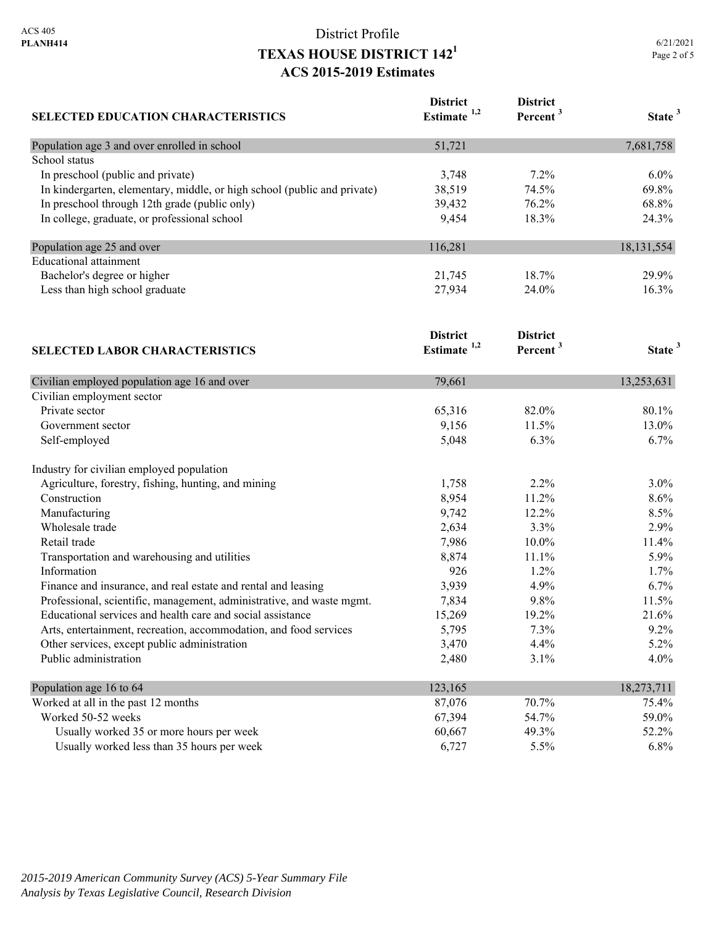#### District Profile **TEXAS HOUSE DISTRICT 1421 ACS 2015-2019 Estimates**

| <b>SELECTED EDUCATION CHARACTERISTICS</b>                                | <b>District</b><br>Estimate <sup>1,2</sup> | <b>District</b><br>Percent <sup>3</sup> | State <sup>3</sup> |
|--------------------------------------------------------------------------|--------------------------------------------|-----------------------------------------|--------------------|
| Population age 3 and over enrolled in school                             | 51,721                                     |                                         | 7,681,758          |
| School status                                                            |                                            |                                         |                    |
| In preschool (public and private)                                        | 3,748                                      | $7.2\%$                                 | 6.0%               |
| In kindergarten, elementary, middle, or high school (public and private) | 38,519                                     | 74.5%                                   | 69.8%              |
| In preschool through 12th grade (public only)                            | 39,432                                     | 76.2%                                   | 68.8%              |
| In college, graduate, or professional school                             | 9,454                                      | 18.3%                                   | 24.3%              |
| Population age 25 and over                                               | 116,281                                    |                                         | 18, 131, 554       |
| <b>Educational attainment</b>                                            |                                            |                                         |                    |
| Bachelor's degree or higher                                              | 21,745                                     | 18.7%                                   | 29.9%              |
| Less than high school graduate                                           | 27,934                                     | 24.0%                                   | 16.3%              |
| <b>SELECTED LABOR CHARACTERISTICS</b>                                    | <b>District</b><br>Estimate $1,2$          | <b>District</b><br>Percent <sup>3</sup> | State <sup>3</sup> |
| Civilian employed population age 16 and over                             | 79,661                                     |                                         | 13,253,631         |
| Civilian employment sector                                               |                                            |                                         |                    |
| Private sector                                                           | 65,316                                     | 82.0%                                   | 80.1%              |
| Government sector                                                        | 9,156                                      | 11.5%                                   | 13.0%              |
| Self-employed                                                            | 5,048                                      | $6.3\%$                                 | $6.7\%$            |

| Self-employed                                                         | 5,048   | $6.3\%$ | 6.7%       |
|-----------------------------------------------------------------------|---------|---------|------------|
| Industry for civilian employed population                             |         |         |            |
| Agriculture, forestry, fishing, hunting, and mining                   | 1,758   | $2.2\%$ | $3.0\%$    |
| Construction                                                          | 8,954   | 11.2%   | $8.6\%$    |
| Manufacturing                                                         | 9,742   | 12.2%   | $8.5\%$    |
| Wholesale trade                                                       | 2,634   | $3.3\%$ | $2.9\%$    |
| Retail trade                                                          | 7,986   | 10.0%   | 11.4%      |
| Transportation and warehousing and utilities                          | 8,874   | 11.1%   | $5.9\%$    |
| Information                                                           | 926     | $1.2\%$ | $1.7\%$    |
| Finance and insurance, and real estate and rental and leasing         | 3,939   | 4.9%    | 6.7%       |
| Professional, scientific, management, administrative, and waste mgmt. | 7,834   | 9.8%    | 11.5%      |
| Educational services and health care and social assistance            | 15,269  | 19.2%   | 21.6%      |
| Arts, entertainment, recreation, accommodation, and food services     | 5,795   | $7.3\%$ | $9.2\%$    |
| Other services, except public administration                          | 3,470   | 4.4%    | $5.2\%$    |
| Public administration                                                 | 2,480   | $3.1\%$ | $4.0\%$    |
| Population age 16 to 64                                               | 123,165 |         | 18,273,711 |
| Worked at all in the past 12 months                                   | 87,076  | 70.7%   | 75.4%      |
| Worked 50-52 weeks                                                    | 67,394  | 54.7%   | 59.0%      |
| Usually worked 35 or more hours per week                              | 60,667  | 49.3%   | 52.2%      |
| Usually worked less than 35 hours per week                            | 6,727   | 5.5%    | 6.8%       |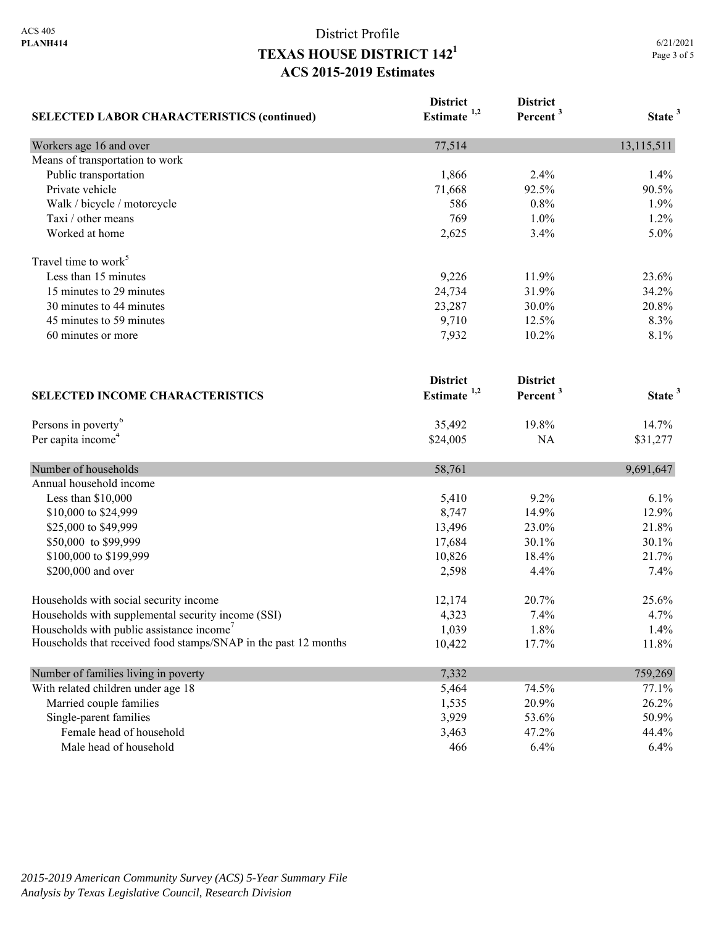# District Profile **TEXAS HOUSE DISTRICT 1421 ACS 2015-2019 Estimates**

|                                                                 | <b>District</b>         | <b>District</b>      |                    |
|-----------------------------------------------------------------|-------------------------|----------------------|--------------------|
| <b>SELECTED LABOR CHARACTERISTICS (continued)</b>               | Estimate <sup>1,2</sup> | Percent <sup>3</sup> | State <sup>3</sup> |
| Workers age 16 and over                                         | 77,514                  |                      | 13,115,511         |
| Means of transportation to work                                 |                         |                      |                    |
| Public transportation                                           | 1,866                   | 2.4%                 | 1.4%               |
| Private vehicle                                                 | 71,668                  | 92.5%                | 90.5%              |
| Walk / bicycle / motorcycle                                     | 586                     | 0.8%                 | 1.9%               |
| Taxi / other means                                              | 769                     | $1.0\%$              | 1.2%               |
| Worked at home                                                  | 2,625                   | 3.4%                 | 5.0%               |
| Travel time to work <sup>5</sup>                                |                         |                      |                    |
| Less than 15 minutes                                            | 9,226                   | 11.9%                | 23.6%              |
| 15 minutes to 29 minutes                                        | 24,734                  | 31.9%                | 34.2%              |
| 30 minutes to 44 minutes                                        | 23,287                  | 30.0%                | 20.8%              |
| 45 minutes to 59 minutes                                        | 9,710                   | 12.5%                | 8.3%               |
| 60 minutes or more                                              | 7,932                   | 10.2%                | 8.1%               |
|                                                                 | <b>District</b>         | <b>District</b>      |                    |
| <b>SELECTED INCOME CHARACTERISTICS</b>                          | Estimate $1,2$          | Percent <sup>3</sup> | State <sup>3</sup> |
| Persons in poverty <sup>6</sup>                                 | 35,492                  | 19.8%                | 14.7%              |
| Per capita income <sup>4</sup>                                  | \$24,005                | <b>NA</b>            | \$31,277           |
| Number of households                                            | 58,761                  |                      | 9,691,647          |
| Annual household income                                         |                         |                      |                    |
| Less than \$10,000                                              | 5,410                   | 9.2%                 | 6.1%               |
| \$10,000 to \$24,999                                            | 8,747                   | 14.9%                | 12.9%              |
| \$25,000 to \$49,999                                            | 13,496                  | 23.0%                | 21.8%              |
| \$50,000 to \$99,999                                            | 17,684                  | 30.1%                | 30.1%              |
| \$100,000 to \$199,999                                          | 10,826                  | 18.4%                | 21.7%              |
| \$200,000 and over                                              | 2,598                   | 4.4%                 | 7.4%               |
| Households with social security income                          | 12,174                  | 20.7%                | 25.6%              |
| Households with supplemental security income (SSI)              | 4,323                   | 7.4%                 | 4.7%               |
| Households with public assistance income'                       | 1,039                   | 1.8%                 | 1.4%               |
| Households that received food stamps/SNAP in the past 12 months | 10,422                  | 17.7%                | 11.8%              |
| Number of families living in poverty                            | 7,332                   |                      | 759,269            |
| With related children under age 18                              | 5,464                   | 74.5%                | 77.1%              |
| Married couple families                                         | 1,535                   | 20.9%                | 26.2%              |
| Single-parent families                                          | 3,929                   | 53.6%                | 50.9%              |
| Female head of household                                        | 3,463                   | 47.2%                | 44.4%              |
| Male head of household                                          | 466                     | 6.4%                 | 6.4%               |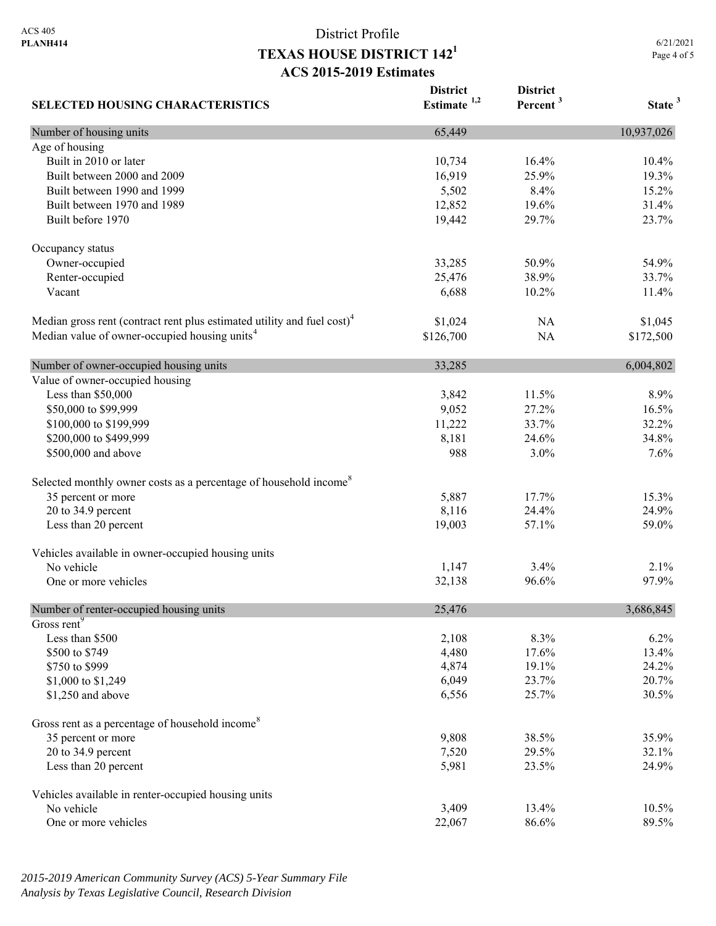# District Profile **TEXAS HOUSE DISTRICT 1421 ACS 2015-2019 Estimates**

6/21/2021 Page 4 of 5

| <b>SELECTED HOUSING CHARACTERISTICS</b>                                             | <b>District</b><br>Estimate $1,2$ | <b>District</b><br>Percent <sup>3</sup> | State <sup>3</sup> |
|-------------------------------------------------------------------------------------|-----------------------------------|-----------------------------------------|--------------------|
| Number of housing units                                                             | 65,449                            |                                         | 10,937,026         |
| Age of housing                                                                      |                                   |                                         |                    |
| Built in 2010 or later                                                              | 10,734                            | 16.4%                                   | 10.4%              |
| Built between 2000 and 2009                                                         | 16,919                            | 25.9%                                   | 19.3%              |
| Built between 1990 and 1999                                                         | 5,502                             | 8.4%                                    | 15.2%              |
| Built between 1970 and 1989                                                         | 12,852                            | 19.6%                                   | 31.4%              |
| Built before 1970                                                                   | 19,442                            | 29.7%                                   | 23.7%              |
| Occupancy status                                                                    |                                   |                                         |                    |
| Owner-occupied                                                                      | 33,285                            | 50.9%                                   | 54.9%              |
| Renter-occupied                                                                     | 25,476                            | 38.9%                                   | 33.7%              |
| Vacant                                                                              | 6,688                             | 10.2%                                   | 11.4%              |
| Median gross rent (contract rent plus estimated utility and fuel cost) <sup>4</sup> | \$1,024                           | NA                                      | \$1,045            |
| Median value of owner-occupied housing units <sup>4</sup>                           | \$126,700                         | <b>NA</b>                               | \$172,500          |
| Number of owner-occupied housing units                                              | 33,285                            |                                         | 6,004,802          |
| Value of owner-occupied housing                                                     |                                   |                                         |                    |
| Less than \$50,000                                                                  | 3,842                             | 11.5%                                   | 8.9%               |
| \$50,000 to \$99,999                                                                | 9,052                             | 27.2%                                   | 16.5%              |
| \$100,000 to \$199,999                                                              | 11,222                            | 33.7%                                   | 32.2%              |
| \$200,000 to \$499,999                                                              | 8,181                             | 24.6%                                   | 34.8%              |
| \$500,000 and above                                                                 | 988                               | 3.0%                                    | 7.6%               |
| Selected monthly owner costs as a percentage of household income <sup>8</sup>       |                                   |                                         |                    |
| 35 percent or more                                                                  | 5,887                             | 17.7%                                   | 15.3%              |
| 20 to 34.9 percent                                                                  | 8,116                             | 24.4%                                   | 24.9%              |
| Less than 20 percent                                                                | 19,003                            | 57.1%                                   | 59.0%              |
| Vehicles available in owner-occupied housing units                                  |                                   |                                         |                    |
| No vehicle                                                                          | 1,147                             | 3.4%                                    | 2.1%               |
| One or more vehicles                                                                | 32,138                            | 96.6%                                   | 97.9%              |
| Number of renter-occupied housing units                                             | 25,476                            |                                         | 3,686,845          |
| Gross rent <sup>9</sup>                                                             |                                   |                                         |                    |
| Less than \$500                                                                     | 2,108                             | 8.3%                                    | 6.2%               |
| \$500 to \$749                                                                      | 4,480                             | 17.6%                                   | 13.4%              |
| \$750 to \$999                                                                      | 4,874                             | 19.1%                                   | 24.2%              |
| \$1,000 to \$1,249                                                                  | 6,049                             | 23.7%                                   | 20.7%              |
| \$1,250 and above                                                                   | 6,556                             | 25.7%                                   | 30.5%              |
| Gross rent as a percentage of household income <sup>8</sup>                         |                                   |                                         |                    |
| 35 percent or more                                                                  | 9,808                             | 38.5%                                   | 35.9%              |
| 20 to 34.9 percent                                                                  | 7,520                             | 29.5%                                   | 32.1%              |
| Less than 20 percent                                                                | 5,981                             | 23.5%                                   | 24.9%              |
| Vehicles available in renter-occupied housing units                                 |                                   |                                         |                    |
| No vehicle                                                                          | 3,409                             | 13.4%                                   | 10.5%              |
| One or more vehicles                                                                | 22,067                            | 86.6%                                   | 89.5%              |